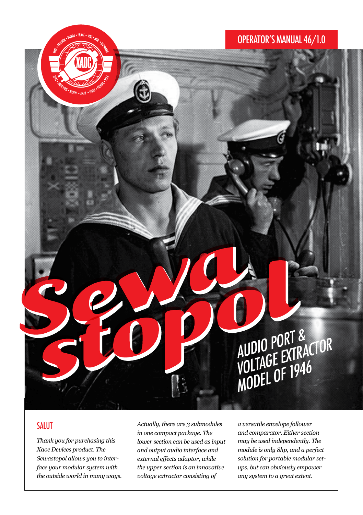# OPERATOR'S MANUAL 46/1.0

# AUDIO PORT & AUDIO PUNTE<br>VOLTAGE EXTRACTOR<br>VOLTAGE OF 1946 VOLIAUL OF 1946<br>MODEL OF 1946

# SALUT

*Thank you for purchasing this Xaoc Devices product. The Sewastopol allows you to interface your modular system with the outside world in many ways.* *Actually, there are 3 submodules in one compact package. The lower section can be used as input and output audio interface and external effects adaptor, while the upper section is an innovative voltage extractor consisting of* 

*a versatile envelope follower and comparator. Either section may be used independently. The module is only 8hp, and a perfect solution for portable modular setups, but can obviously empower any system to a great extent.*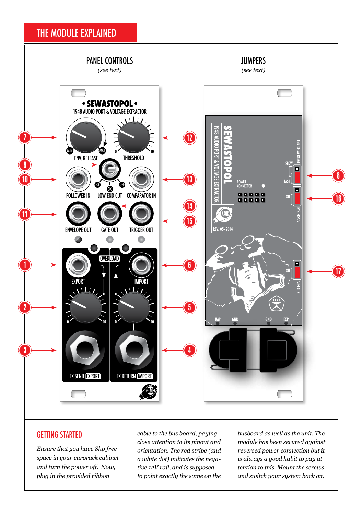# THE MODULE EXPLAINED



## GETTING STARTED

*Ensure that you have 8hp free space in your eurorack cabinet and turn the power off. Now, plug in the provided ribbon* 

*cable to the bus board, paying close attention to its pinout and orientation. The red stripe (and a white dot) indicates the negative 12V rail, and is supposed to point exactly the same on the*  *busboard as well as the unit. The module has been secured against reversed power connection but it is always a good habit to pay attention to this. Mount the screws and switch your system back on.*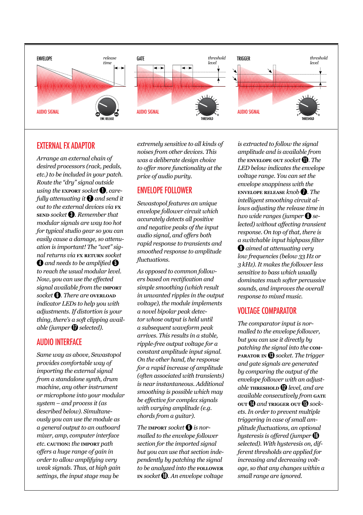

#### **EXTERNAL EX ADAPTOR**

*Arrange an external chain of desired processors (rack, pedals, etc.) to be included in your patch. Route the "dry" signal outside using the EXPORT socket* **<b>1**, *carefully attenuating it* 2 *and send it out to the external devices via* **fx send** *socket* **0** *. Remember that modular signals are way too hot for typical studio gear so you can easily cause a damage, so attenuation is important! The "wet" signal returns via* **fx return** *socket*   $\Omega$  *and needs to be amplified*  $\Omega$ *to reach the usual modular level. Now, you can use the effected signal available from the* **import** *socket* 6 *. There are* **overload** *indicator LEDs to help you with adjustments. If distortion is your thing, there's a soft clipping available (jumper* **1** *selected).* 

#### audio iNTERFACE

*Same way as above, Sewastopol provides comfortable way of importing the external signal from a standalone synth, drum machine, any other instrument or microphone into your modular system – and process it (as described below). Simultaneously you can use the module as a general output to an outboard mixer, amp, computer interface etc.* **caution:** *the* **import** *path offers a huge range of gain in order to allow amplifying very weak signals. Thus, at high gain settings, the input stage may be* 

*extremely sensitive to all kinds of noises from other devices. This was a deliberate design choice to offer more functionality at the price of audio purity.*

## ENVELOPE FOLLOWER

*Sewastopol features an unique envelope follower circuit which accurately detects all positive and negative peaks of the input audio signal, and offers both rapid response to transients and smoothed response to amplitude fluctuations.*

*As opposed to common followers based on rectification and simple smoothing (which result in unwanted ripples in the output voltage), the module implements a novel bipolar peak detector whose output is held until a subsequent waveform peak arrives. This results in a stable, ripple-free output voltage for a constant amplitude input signal. On the other hand, the response for a rapid increase of amplitude (often associated with transients) is near instantaneous. Additional smoothing is possible which may be effective for complex signals with varying amplitude (e.g. chords from a guitar).*

*The* **import** *socket* 6 *is normalled to the envelope follower section for the imported signal but you can use that section independently by patching the signal to be analyzed into the* **follower in** *socket* 10 *. An envelope voltage* 

*is extracted to follow the signal amplitude and is available from the ENVELOPE OUT Socket* **<b>11** *. The LED below indicates the envelope voltage range. You can set the envelope snappiness with the*  **envelope release** *knob*  $\bullet$  *. The intelligent smoothing circuit allows adjusting the release time in two wide ranges (jumper* 8 *selected) without affecting transient response. On top of that, there is a switchable input highpass filter*  9 *aimed at attenuating very low frequencies (below 33 Hz or 3 kHz). It makes the follower less sensitive to bass which usually dominates much softer percussive sounds, and improves the overall response to mixed music.*

#### VOLTAGE COMPARATOR

*The comparator input is normalled to the envelope follower, but you can use it directly by patching the signal into the* **comparator in** 13 *socket. The trigger and gate signals are generated by comparing the output of the envelope follower with an adjustable* **тнкезно**  $\n$  *level, and are available consecutively from* **gate OUT** *Q* and **TRIGGER** OUT *Q sockets. In order to prevent multiple triggering in case of small amplitude fluctuations, an optional hysteresis is offered (jumper*  $\mathbf{0}$ *selected). With hysteresis on, different thresholds are applied for increasing and decreasing voltage, so that any changes within a small range are ignored.*